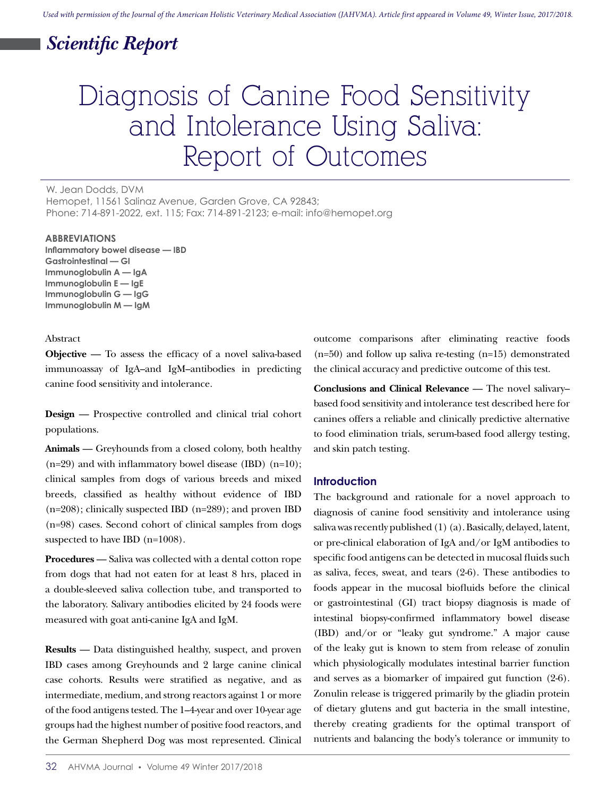## *Scientific Report*

# Diagnosis of Canine Food Sensitivity and Intolerance Using Saliva: Report of Outcomes

W. Jean Dodds, DVM Hemopet, 11561 Salinaz Avenue, Garden Grove, CA 92843; Phone: 714-891-2022, ext. 115; Fax: 714-891-2123; e-mail: info@hemopet.org

#### **ABBREVIATIONS**

**Inflammatory bowel disease — IBD Gastrointestinal — GI Immunoglobulin A — IgA Immunoglobulin E — IgE Immunoglobulin G — IgG Immunoglobulin M — IgM**

#### Abstract

**Objective** — To assess the efficacy of a novel saliva-based immunoassay of IgA–and IgM–antibodies in predicting canine food sensitivity and intolerance.

**Design** — Prospective controlled and clinical trial cohort populations.

**Animals** — Greyhounds from a closed colony, both healthy  $(n=29)$  and with inflammatory bowel disease (IBD)  $(n=10)$ ; clinical samples from dogs of various breeds and mixed breeds, classified as healthy without evidence of IBD  $(n=208)$ ; clinically suspected IBD  $(n=289)$ ; and proven IBD (n=98) cases. Second cohort of clinical samples from dogs suspected to have IBD (n=1008).

**Procedures** — Saliva was collected with a dental cotton rope from dogs that had not eaten for at least 8 hrs, placed in a double-sleeved saliva collection tube, and transported to the laboratory. Salivary antibodies elicited by 24 foods were measured with goat anti-canine IgA and IgM.

**Results** — Data distinguished healthy, suspect, and proven IBD cases among Greyhounds and 2 large canine clinical case cohorts. Results were stratified as negative, and as intermediate, medium, and strong reactors against 1 or more of the food antigens tested. The 1–4-year and over 10-year age groups had the highest number of positive food reactors, and the German Shepherd Dog was most represented. Clinical outcome comparisons after eliminating reactive foods (n=50) and follow up saliva re-testing (n=15) demonstrated the clinical accuracy and predictive outcome of this test.

**Conclusions and Clinical Relevance** — The novel salivary– based food sensitivity and intolerance test described here for canines offers a reliable and clinically predictive alternative to food elimination trials, serum-based food allergy testing, and skin patch testing.

## **Introduction**

The background and rationale for a novel approach to diagnosis of canine food sensitivity and intolerance using saliva was recently published (1) (a). Basically, delayed, latent, or pre-clinical elaboration of IgA and/or IgM antibodies to specific food antigens can be detected in mucosal fluids such as saliva, feces, sweat, and tears (2-6). These antibodies to foods appear in the mucosal biofluids before the clinical or gastrointestinal (GI) tract biopsy diagnosis is made of intestinal biopsy-confirmed inflammatory bowel disease (IBD) and/or or "leaky gut syndrome." A major cause of the leaky gut is known to stem from release of zonulin which physiologically modulates intestinal barrier function and serves as a biomarker of impaired gut function (2-6). Zonulin release is triggered primarily by the gliadin protein of dietary glutens and gut bacteria in the small intestine, thereby creating gradients for the optimal transport of nutrients and balancing the body's tolerance or immunity to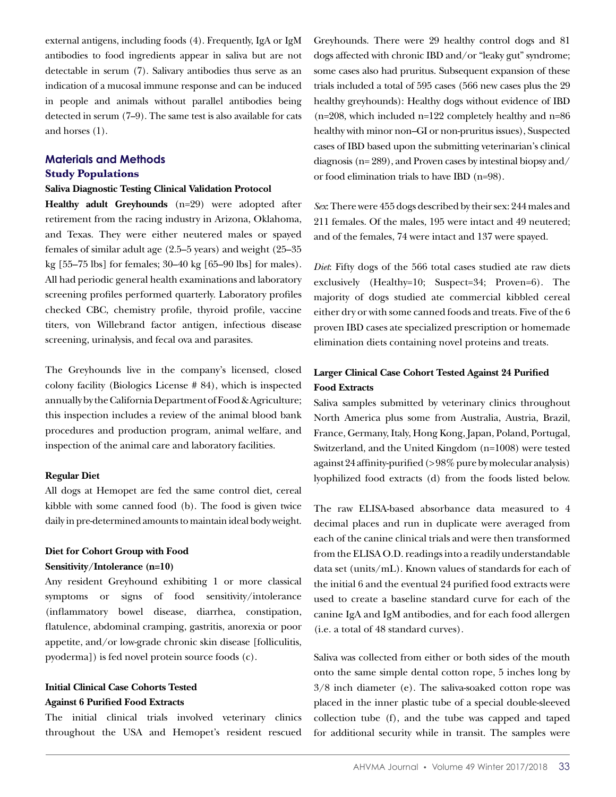external antigens, including foods (4). Frequently, IgA or IgM antibodies to food ingredients appear in saliva but are not detectable in serum (7). Salivary antibodies thus serve as an indication of a mucosal immune response and can be induced in people and animals without parallel antibodies being detected in serum (7–9). The same test is also available for cats and horses (1).

## **Materials and Methods Study Populations**

#### **Saliva Diagnostic Testing Clinical Validation Protocol**

**Healthy adult Greyhounds** (n=29) were adopted after retirement from the racing industry in Arizona, Oklahoma, and Texas. They were either neutered males or spayed females of similar adult age (2.5–5 years) and weight (25–35 kg [55–75 lbs] for females; 30–40 kg [65–90 lbs] for males). All had periodic general health examinations and laboratory screening profiles performed quarterly. Laboratory profiles checked CBC, chemistry profile, thyroid profile, vaccine titers, von Willebrand factor antigen, infectious disease screening, urinalysis, and fecal ova and parasites.

The Greyhounds live in the company's licensed, closed colony facility (Biologics License # 84), which is inspected annually by the California Department of Food & Agriculture; this inspection includes a review of the animal blood bank procedures and production program, animal welfare, and inspection of the animal care and laboratory facilities.

#### **Regular Diet**

All dogs at Hemopet are fed the same control diet, cereal kibble with some canned food (b). The food is given twice daily in pre-determined amounts to maintain ideal body weight.

## **Diet for Cohort Group with Food Sensitivity/Intolerance (n=10)**

Any resident Greyhound exhibiting 1 or more classical symptoms or signs of food sensitivity/intolerance (inflammatory bowel disease, diarrhea, constipation, flatulence, abdominal cramping, gastritis, anorexia or poor appetite, and/or low-grade chronic skin disease [folliculitis, pyoderma]) is fed novel protein source foods (c).

## **Initial Clinical Case Cohorts Tested Against 6 Purified Food Extracts**

The initial clinical trials involved veterinary clinics throughout the USA and Hemopet's resident rescued Greyhounds. There were 29 healthy control dogs and 81 dogs affected with chronic IBD and/or "leaky gut" syndrome; some cases also had pruritus. Subsequent expansion of these trials included a total of 595 cases (566 new cases plus the 29 healthy greyhounds): Healthy dogs without evidence of IBD  $(n=208,$  which included n=122 completely healthy and n=86 healthy with minor non–GI or non-pruritus issues), Suspected cases of IBD based upon the submitting veterinarian's clinical diagnosis (n= 289), and Proven cases by intestinal biopsy and/ or food elimination trials to have IBD (n=98).

*Sex*: There were 455 dogs described by their sex: 244 males and 211 females. Of the males, 195 were intact and 49 neutered; and of the females, 74 were intact and 137 were spayed.

*Diet*: Fifty dogs of the 566 total cases studied ate raw diets exclusively (Healthy=10; Suspect=34; Proven=6). The majority of dogs studied ate commercial kibbled cereal either dry or with some canned foods and treats. Five of the 6 proven IBD cases ate specialized prescription or homemade elimination diets containing novel proteins and treats.

## **Larger Clinical Case Cohort Tested Against 24 Purified Food Extracts**

Saliva samples submitted by veterinary clinics throughout North America plus some from Australia, Austria, Brazil, France, Germany, Italy, Hong Kong, Japan, Poland, Portugal, Switzerland, and the United Kingdom (n=1008) were tested against 24 affinity-purified (> 98% pure by molecular analysis) lyophilized food extracts (d) from the foods listed below.

The raw ELISA-based absorbance data measured to 4 decimal places and run in duplicate were averaged from each of the canine clinical trials and were then transformed from the ELISA O.D. readings into a readily understandable data set (units/mL). Known values of standards for each of the initial 6 and the eventual 24 purified food extracts were used to create a baseline standard curve for each of the canine IgA and IgM antibodies, and for each food allergen (i.e. a total of 48 standard curves).

Saliva was collected from either or both sides of the mouth onto the same simple dental cotton rope, 5 inches long by 3/8 inch diameter (e). The saliva-soaked cotton rope was placed in the inner plastic tube of a special double-sleeved collection tube (f), and the tube was capped and taped for additional security while in transit. The samples were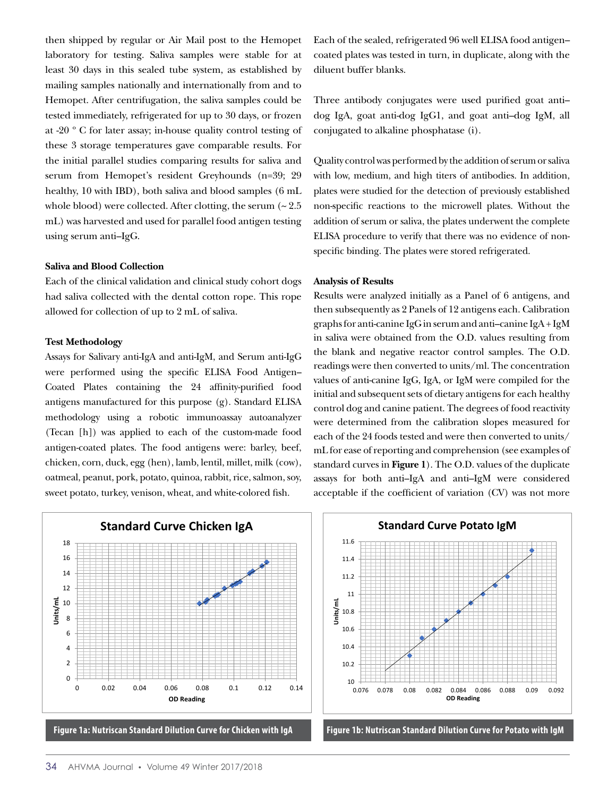then shipped by regular or Air Mail post to the Hemopet laboratory for testing. Saliva samples were stable for at least 30 days in this sealed tube system, as established by mailing samples nationally and internationally from and to Hemopet. After centrifugation, the saliva samples could be tested immediately, refrigerated for up to 30 days, or frozen at -20 º C for later assay; in-house quality control testing of these 3 storage temperatures gave comparable results. For the initial parallel studies comparing results for saliva and serum from Hemopet's resident Greyhounds (n=39; 29 healthy, 10 with IBD), both saliva and blood samples (6 mL whole blood) were collected. After clotting, the serum  $\sim 2.5$ mL) was harvested and used for parallel food antigen testing using serum anti–IgG.

#### **Saliva and Blood Collection**

Each of the clinical validation and clinical study cohort dogs had saliva collected with the dental cotton rope. This rope allowed for collection of up to 2 mL of saliva.

#### **Test Methodology**

Assays for Salivary anti-IgA and anti-IgM, and Serum anti-IgG were performed using the specific ELISA Food Antigen– Coated Plates containing the 24 affinity-purified food antigens manufactured for this purpose (g). Standard ELISA methodology using a robotic immunoassay autoanalyzer (Tecan [h]) was applied to each of the custom-made food antigen-coated plates. The food antigens were: barley, beef, chicken, corn, duck, egg (hen), lamb, lentil, millet, milk (cow), oatmeal, peanut, pork, potato, quinoa, rabbit, rice, salmon, soy, sweet potato, turkey, venison, wheat, and white-colored fish.

Each of the sealed, refrigerated 96 well ELISA food antigen– coated plates was tested in turn, in duplicate, along with the diluent buffer blanks.

Three antibody conjugates were used purified goat anti– dog IgA, goat anti-dog IgG1, and goat anti–dog IgM, all conjugated to alkaline phosphatase (i).

Quality control was performed by the addition of serum or saliva with low, medium, and high titers of antibodies. In addition, plates were studied for the detection of previously established non-specific reactions to the microwell plates. Without the addition of serum or saliva, the plates underwent the complete ELISA procedure to verify that there was no evidence of nonspecific binding. The plates were stored refrigerated.

#### **Analysis of Results**

Results were analyzed initially as a Panel of 6 antigens, and then subsequently as 2 Panels of 12 antigens each. Calibration 18 graphs for anti-canine IgG in serum and anti–canine IgA + IgM in saliva were obtained from the O.D. values resulting from 14 the blank and negative reactor control samples. The O.D. 12 readings were then converted to units/ml. The concentration 10 readings were then converted to units/ml. I he concentration<br>values of anti-canine IgG, IgA, or IgM were compiled for the initial and subsequent sets of dietary antigens for each healthy 6 control dog and canine patient. The degrees of food reactivity 4 were determined from the calibration slopes measured for each of the 24 foods tested and were then converted to units/ 2 mL for ease of reporting and comprehension (see examples of standard curves in Figure 1). The O.D. values of the duplicate assays for both anti–IgA and anti–IgM were considered acceptable if the coefficient of variation (CV) was not more se of reporting and comprehension (see examples o





**Figure 1b. Nutriscan Standard Dilution Curve for Potato with IgM**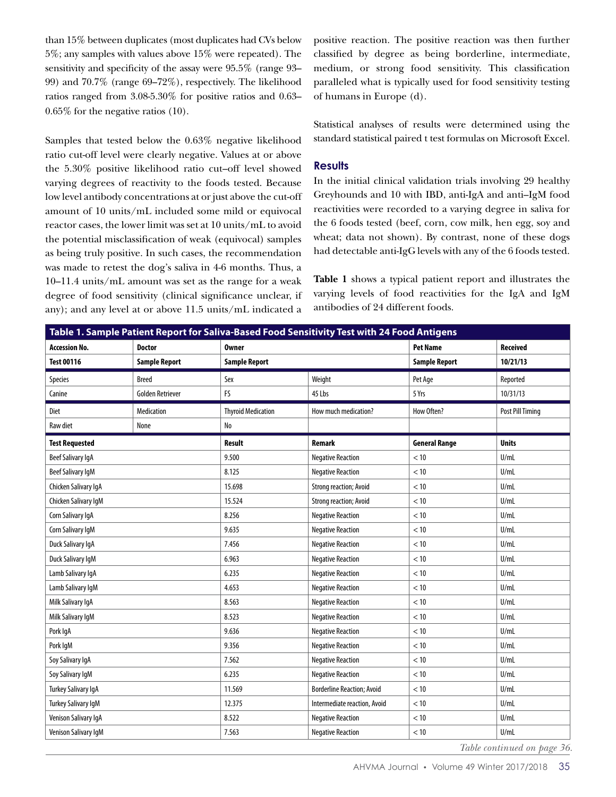than 15% between duplicates (most duplicates had CVs below 5%; any samples with values above 15% were repeated). The sensitivity and specificity of the assay were 95.5% (range 93– 99) and 70.7% (range 69–72%), respectively. The likelihood ratios ranged from 3.08-5.30% for positive ratios and 0.63– 0.65% for the negative ratios (10).

Samples that tested below the 0.63% negative likelihood ratio cut-off level were clearly negative. Values at or above the 5.30% positive likelihood ratio cut–off level showed varying degrees of reactivity to the foods tested. Because low level antibody concentrations at or just above the cut-off amount of 10 units/mL included some mild or equivocal reactor cases, the lower limit was set at 10 units/mL to avoid the potential misclassification of weak (equivocal) samples as being truly positive. In such cases, the recommendation was made to retest the dog's saliva in 4-6 months. Thus, a 10–11.4 units/mL amount was set as the range for a weak degree of food sensitivity (clinical significance unclear, if any); and any level at or above 11.5 units/mL indicated a

positive reaction. The positive reaction was then further classified by degree as being borderline, intermediate, medium, or strong food sensitivity. This classification paralleled what is typically used for food sensitivity testing of humans in Europe (d).

Statistical analyses of results were determined using the standard statistical paired t test formulas on Microsoft Excel.

## **Results**

In the initial clinical validation trials involving 29 healthy Greyhounds and 10 with IBD, anti-IgA and anti–IgM food reactivities were recorded to a varying degree in saliva for the 6 foods tested (beef, corn, cow milk, hen egg, soy and wheat; data not shown). By contrast, none of these dogs had detectable anti-IgG levels with any of the 6 foods tested.

**Table 1** shows a typical patient report and illustrates the varying levels of food reactivities for the IgA and IgM antibodies of 24 different foods.

| Table 1. Sample Patient Report for Saliva-Based Food Sensitivity Test with 24 Food Antigens |                         |                           |                                   |                      |                  |  |  |  |
|---------------------------------------------------------------------------------------------|-------------------------|---------------------------|-----------------------------------|----------------------|------------------|--|--|--|
| <b>Accession No.</b>                                                                        | <b>Doctor</b>           | <b>Owner</b>              |                                   | <b>Pet Name</b>      | <b>Received</b>  |  |  |  |
| <b>Test 00116</b>                                                                           | <b>Sample Report</b>    | <b>Sample Report</b>      |                                   | <b>Sample Report</b> | 10/21/13         |  |  |  |
| Species                                                                                     | <b>Breed</b>            | Sex                       | Weight                            | Pet Age              | Reported         |  |  |  |
| Canine                                                                                      | <b>Golden Retriever</b> | <b>FS</b>                 | 45 Lbs                            | 5 Yrs                | 10/31/13         |  |  |  |
| Diet                                                                                        | <b>Medication</b>       | <b>Thyroid Medication</b> | How much medication?              | How Often?           | Post Pill Timing |  |  |  |
| Raw diet                                                                                    | None                    | N <sub>o</sub>            |                                   |                      |                  |  |  |  |
| <b>Test Requested</b>                                                                       |                         | <b>Result</b>             | <b>Remark</b>                     | <b>General Range</b> | <b>Units</b>     |  |  |  |
| Beef Salivary IgA                                                                           |                         | 9.500                     | <b>Negative Reaction</b>          | < 10                 | U/mL             |  |  |  |
| <b>Beef Salivary IgM</b>                                                                    |                         | 8.125                     | <b>Negative Reaction</b>          | < 10                 | U/mL             |  |  |  |
| Chicken Salivary IgA                                                                        |                         | 15.698                    | <b>Strong reaction; Avoid</b>     | < 10                 | U/mL             |  |  |  |
| Chicken Salivary IgM                                                                        |                         | 15.524                    | <b>Strong reaction; Avoid</b>     | < 10                 | U/ml             |  |  |  |
| Corn Salivary IgA                                                                           |                         | 8.256                     | <b>Negative Reaction</b>          | < 10                 | U/mL             |  |  |  |
| Corn Salivary IgM                                                                           |                         | 9.635                     | <b>Negative Reaction</b>          | < 10                 | U/mL             |  |  |  |
| Duck Salivary IgA                                                                           |                         | 7.456                     | <b>Negative Reaction</b>          | < 10                 | U/mL             |  |  |  |
| Duck Salivary IgM                                                                           |                         | 6.963                     | <b>Negative Reaction</b>          | < 10                 | U/mL             |  |  |  |
| Lamb Salivary IgA                                                                           |                         | 6.235                     | <b>Negative Reaction</b>          | < 10                 | U/mL             |  |  |  |
| Lamb Salivary IgM                                                                           |                         | 4.653                     | <b>Negative Reaction</b>          | $<10$                | U/mL             |  |  |  |
| Milk Salivary IgA                                                                           |                         | 8.563                     | <b>Negative Reaction</b>          | $<10$                | U/ml             |  |  |  |
| Milk Salivary IgM                                                                           |                         | 8.523                     | <b>Negative Reaction</b>          | < 10                 | U/mL             |  |  |  |
| Pork IgA                                                                                    |                         | 9.636                     | <b>Negative Reaction</b>          | < 10                 | U/mL             |  |  |  |
| Pork IgM                                                                                    |                         | 9.356                     | <b>Negative Reaction</b>          | < 10                 | U/ml             |  |  |  |
| Soy Salivary IgA                                                                            |                         | 7.562                     | <b>Negative Reaction</b>          | < 10                 | U/mL             |  |  |  |
| Soy Salivary IgM                                                                            | 6.235                   |                           | <b>Negative Reaction</b>          |                      | U/mL             |  |  |  |
| Turkey Salivary IgA                                                                         | 11.569                  |                           | <b>Borderline Reaction; Avoid</b> | < 10                 | U/ml             |  |  |  |
| <b>Turkey Salivary IgM</b>                                                                  |                         | 12.375                    | Intermediate reaction, Avoid      | $<10$                | U/ml             |  |  |  |
| Venison Salivary IgA                                                                        |                         | 8.522                     | <b>Negative Reaction</b>          | $<10$                | U/mL             |  |  |  |
| Venison Salivary IgM                                                                        |                         | 7.563                     | <b>Negative Reaction</b>          | < 10                 | U/mL             |  |  |  |

*Table continued on page 36.*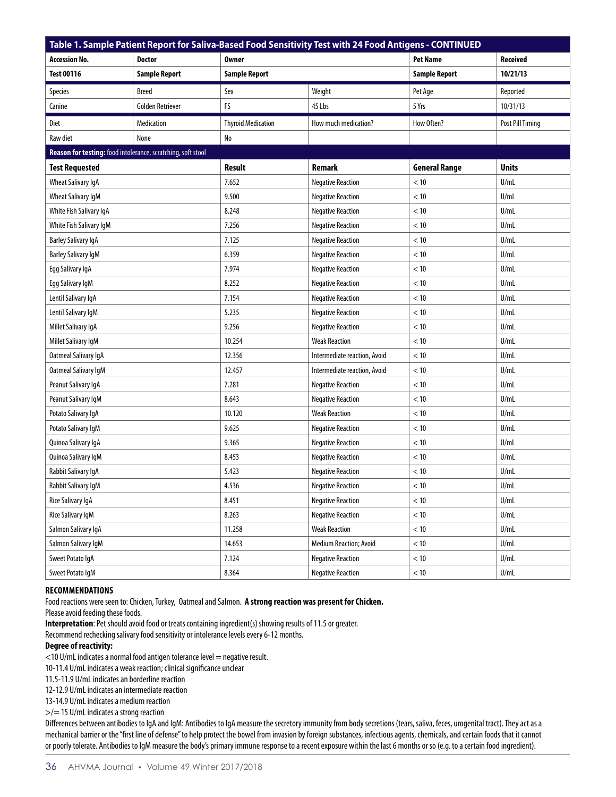| Table 1. Sample Patient Report for Saliva-Based Food Sensitivity Test with 24 Food Antigens - CONTINUED |                         |                           |                              |                      |                  |  |  |  |  |
|---------------------------------------------------------------------------------------------------------|-------------------------|---------------------------|------------------------------|----------------------|------------------|--|--|--|--|
| Accession No.                                                                                           | <b>Doctor</b>           | <b>Owner</b>              |                              | <b>Pet Name</b>      | Received         |  |  |  |  |
| <b>Test 00116</b>                                                                                       | <b>Sample Report</b>    | <b>Sample Report</b>      |                              | <b>Sample Report</b> | 10/21/13         |  |  |  |  |
| <b>Species</b>                                                                                          | <b>Breed</b>            | Sex                       | Weight                       | Pet Age              | Reported         |  |  |  |  |
| Canine                                                                                                  | <b>Golden Retriever</b> | FS                        | 45 Lbs                       | 5 Yrs                | 10/31/13         |  |  |  |  |
| <b>Diet</b>                                                                                             | Medication              | <b>Thyroid Medication</b> | How much medication?         | How Often?           | Post Pill Timing |  |  |  |  |
| Raw diet                                                                                                | None                    | No                        |                              |                      |                  |  |  |  |  |
| Reason for testing: food intolerance, scratching, soft stool                                            |                         |                           |                              |                      |                  |  |  |  |  |
| <b>Test Requested</b>                                                                                   |                         | <b>Result</b>             | Remark                       | <b>General Range</b> | <b>Units</b>     |  |  |  |  |
| Wheat Salivary IgA                                                                                      |                         | 7.652                     | <b>Negative Reaction</b>     | < 10                 | U/ml             |  |  |  |  |
| <b>Wheat Salivary IgM</b>                                                                               |                         | 9.500                     | <b>Negative Reaction</b>     | < 10                 | U/ml             |  |  |  |  |
| White Fish Salivary IgA                                                                                 |                         | 8.248                     | <b>Negative Reaction</b>     | < 10                 | U/mL             |  |  |  |  |
| White Fish Salivary IgM                                                                                 |                         | 7.256                     | <b>Negative Reaction</b>     | < 10                 | U/mL             |  |  |  |  |
| <b>Barley Salivary IgA</b>                                                                              |                         | 7.125                     | <b>Negative Reaction</b>     | < 10                 | U/ml             |  |  |  |  |
| <b>Barley Salivary IgM</b>                                                                              |                         | 6.359                     | <b>Negative Reaction</b>     | < 10                 | U/ml             |  |  |  |  |
| Egg Salivary IgA                                                                                        |                         | 7.974                     | <b>Negative Reaction</b>     | < 10                 | U/mL             |  |  |  |  |
| Egg Salivary IgM                                                                                        |                         | 8.252                     | <b>Negative Reaction</b>     | < 10                 | U/mL             |  |  |  |  |
| Lentil Salivary IgA                                                                                     |                         | 7.154                     | <b>Negative Reaction</b>     | < 10                 | U/mL             |  |  |  |  |
| Lentil Salivary IgM                                                                                     |                         | 5.235                     | <b>Negative Reaction</b>     | < 10                 | U/ml             |  |  |  |  |
| Millet Salivary IgA                                                                                     |                         | 9.256                     | <b>Negative Reaction</b>     | < 10                 | U/ml             |  |  |  |  |
| Millet Salivary IgM                                                                                     |                         | 10.254                    | <b>Weak Reaction</b>         | < 10                 | U/ml             |  |  |  |  |
| Oatmeal Salivary IgA                                                                                    |                         | 12.356                    | Intermediate reaction, Avoid | < 10                 | U/mL             |  |  |  |  |
| Oatmeal Salivary IgM                                                                                    |                         | 12.457                    | Intermediate reaction, Avoid | < 10                 | U/ml             |  |  |  |  |
| Peanut Salivary IgA                                                                                     |                         | 7.281                     | <b>Negative Reaction</b>     | < 10                 | U/ml             |  |  |  |  |
| Peanut Salivary IgM                                                                                     |                         | 8.643                     | <b>Negative Reaction</b>     | < 10                 | U/mL             |  |  |  |  |
| Potato Salivary IgA                                                                                     |                         | 10.120                    | <b>Weak Reaction</b>         | < 10                 | U/ml             |  |  |  |  |
| Potato Salivary IgM                                                                                     |                         | 9.625                     | <b>Negative Reaction</b>     | < 10                 | U/mL             |  |  |  |  |
| Quinoa Salivary IgA                                                                                     |                         | 9.365                     | <b>Negative Reaction</b>     | < 10                 | U/ml             |  |  |  |  |
| Quinoa Salivary IgM                                                                                     |                         | 8.453                     | <b>Negative Reaction</b>     | < 10                 | U/mL             |  |  |  |  |
| Rabbit Salivary IgA                                                                                     |                         | 5.423                     | <b>Negative Reaction</b>     | < 10                 | U/ml             |  |  |  |  |
| Rabbit Salivary IgM                                                                                     |                         | 4.536                     | <b>Negative Reaction</b>     | < 10                 | U/mL             |  |  |  |  |
| Rice Salivary IgA                                                                                       |                         | 8.451                     | <b>Negative Reaction</b>     | < 10                 | U/mL             |  |  |  |  |
| Rice Salivary IgM                                                                                       |                         | 8.263                     | <b>Negative Reaction</b>     | < 10                 | U/mL             |  |  |  |  |
| Salmon Salivary IgA                                                                                     |                         | 11.258                    | <b>Weak Reaction</b>         | $<10\,$              | U/ml             |  |  |  |  |
| Salmon Salivary IgM                                                                                     |                         | 14.653                    | Medium Reaction; Avoid       | $<10$                | U/mL             |  |  |  |  |
| Sweet Potato IgA                                                                                        |                         | 7.124                     | <b>Negative Reaction</b>     | < 10                 | U/mL             |  |  |  |  |
| Sweet Potato IgM                                                                                        |                         | 8.364                     | <b>Negative Reaction</b>     | $<10$                | U/mL             |  |  |  |  |

#### **RECOMMENDATIONS**

Food reactions were seen to: Chicken, Turkey, Oatmeal and Salmon. **A strong reaction was present for Chicken.** 

Please avoid feeding these foods.

**Interpretation**: Pet should avoid food or treats containing ingredient(s) showing results of 11.5 or greater.

Recommend rechecking salivary food sensitivity or intolerance levels every 6-12 months.

## **Degree of reactivity:**

<10 U/mL indicates a normal food antigen tolerance level = negative result.

10-11.4 U/mL indicates a weak reaction; clinical significance unclear

11.5-11.9 U/mL indicates an borderline reaction

12-12.9 U/mL indicates an intermediate reaction

13-14.9 U/mL indicates a medium reaction

>/= 15 U/mL indicates a strong reaction

Differences between antibodies to IgA and IgM: Antibodies to IgA measure the secretory immunity from body secretions (tears, saliva, feces, urogenital tract). They act as a mechanical barrier or the "first line of defense" to help protect the bowel from invasion by foreign substances, infectious agents, chemicals, and certain foods that it cannot or poorly tolerate. Antibodies to IgM measure the body's primary immune response to a recent exposure within the last 6 months or so (e.g. to a certain food ingredient).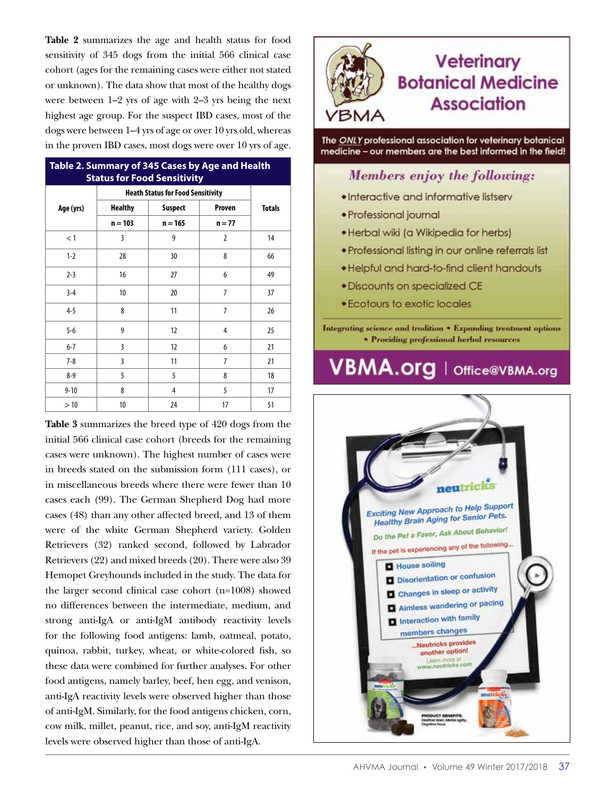**Table 2** summarizes the age and health status for food sensitivity of 345 dogs from the initial 566 clinical case cohort (ages for the remaining cases were either not stated or unknown). The data show that most of the healthy dogs were between 1–2 yrs of age with 2–3 yrs being the next highest age group. For the suspect IBD cases, most of the dogs were between 1–4 yrs of age or over 10 yrs old, whereas in the proven IBD cases, most dogs were over 10 yrs of age.

| Table 2. Summary of 345 Cases by Age and Health<br><b>Status for Food Sensitivity</b> |                                          |                |                |               |  |  |  |  |
|---------------------------------------------------------------------------------------|------------------------------------------|----------------|----------------|---------------|--|--|--|--|
|                                                                                       | <b>Heath Status for Food Sensitivity</b> |                |                |               |  |  |  |  |
| Age (yrs)                                                                             | <b>Healthy</b>                           | <b>Suspect</b> | Proven         | <b>Totals</b> |  |  |  |  |
|                                                                                       | $n = 103$                                | $n = 165$      | $n = 77$       |               |  |  |  |  |
| < 1                                                                                   | 3                                        | 9              | 2              | 14            |  |  |  |  |
| $1 - 2$                                                                               | 28                                       | 30             | 8              | 66            |  |  |  |  |
| $2 - 3$                                                                               | 16                                       | 27             | 6              | 49            |  |  |  |  |
| $3-4$                                                                                 | 10                                       | 20             | $\overline{7}$ | 37            |  |  |  |  |
| $4 - 5$                                                                               | 8                                        | 11             | $\overline{7}$ | 26            |  |  |  |  |
| $5 - 6$                                                                               | 9                                        | 12             | 4              | 25            |  |  |  |  |
| $6 - 7$                                                                               | 3                                        | 12             | 6              | 21            |  |  |  |  |
| $7 - 8$                                                                               | 3                                        | 11             | $\overline{7}$ | 21            |  |  |  |  |
| $8 - 9$                                                                               | 5                                        | 5              | 8              | 18            |  |  |  |  |
| $9 - 10$                                                                              | 8                                        | 4              | 5              | 17            |  |  |  |  |
| >10                                                                                   | 10                                       | 24             | 17             | 51            |  |  |  |  |

**Table 3** summarizes the breed type of 420 dogs from the initial 566 clinical case cohort (breeds for the remaining cases were unknown). The highest number of cases were in breeds stated on the submission form (111 cases), or in miscellaneous breeds where there were fewer than 10 cases each (99). The German Shepherd Dog had more cases (48) than any other affected breed, and 13 of them were of the white German Shepherd variety. Golden Retrievers (32) ranked second, followed by Labrador Retrievers (22) and mixed breeds (20). There were also 39 Hemopet Greyhounds included in the study. The data for the larger second clinical case cohort (n=1008) showed no differences between the intermediate, medium, and strong anti-IgA or anti-IgM antibody reactivity levels for the following food antigens: lamb, oatmeal, potato, quinoa, rabbit, turkey, wheat, or white-colored fish, so these data were combined for further analyses. For other food antigens, namely barley, beef, hen egg, and venison, anti-IgA reactivity levels were observed higher than those of anti-IgM. Similarly, for the food antigens chicken, corn, cow milk, millet, peanut, rice, and soy, anti-IgM reactivity levels were observed higher than those of anti-IgA.



The ONLY professional association for veterinary botanical medicine - our members are the best informed in the field!

## Members enjoy the following:

- Interactive and informative listserv
- · Professional journal
- · Herbal wiki (a Wikipedia for herbs)
- Professional listing in our online referrals list
- . Helpful and hard-to-find client handouts
- · Discounts on specialized CE
- Ecotours to exotic locales

Integrating science and tradition . Expanding treatment options **\* Providing professional herbal resources** 

# **VBMA.org** | Office@VBMA.org

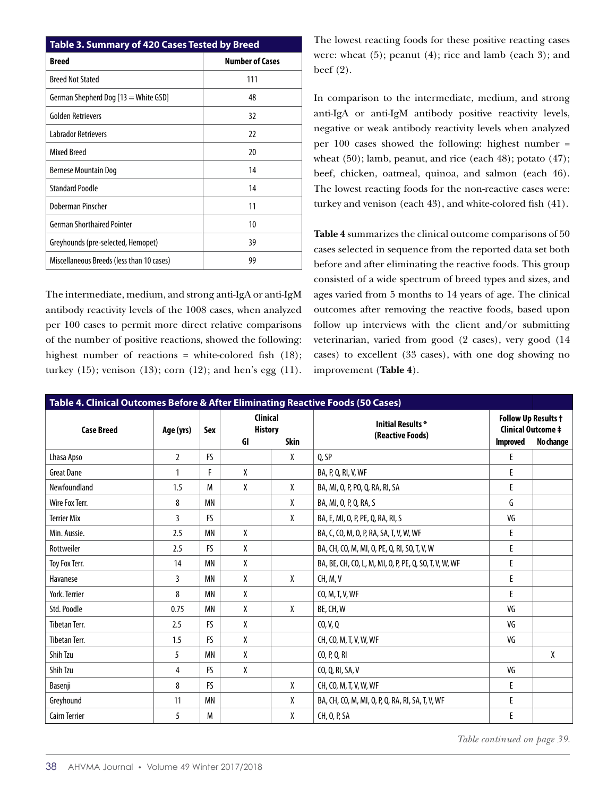| Table 3. Summary of 420 Cases Tested by Breed |                        |  |  |  |  |  |  |
|-----------------------------------------------|------------------------|--|--|--|--|--|--|
| Breed                                         | <b>Number of Cases</b> |  |  |  |  |  |  |
| <b>Breed Not Stated</b>                       | 111                    |  |  |  |  |  |  |
| German Shepherd Dog [13 = White GSD]          | 48                     |  |  |  |  |  |  |
| <b>Golden Retrievers</b>                      | 32                     |  |  |  |  |  |  |
| <b>Labrador Retrievers</b>                    | 22                     |  |  |  |  |  |  |
| <b>Mixed Breed</b>                            | 20                     |  |  |  |  |  |  |
| Bernese Mountain Dog                          | 14                     |  |  |  |  |  |  |
| <b>Standard Poodle</b>                        | 14                     |  |  |  |  |  |  |
| Doberman Pinscher                             | 11                     |  |  |  |  |  |  |
| <b>German Shorthaired Pointer</b>             | 10                     |  |  |  |  |  |  |
| Greyhounds (pre-selected, Hemopet)            | 39                     |  |  |  |  |  |  |
| Miscellaneous Breeds (less than 10 cases)     | 99                     |  |  |  |  |  |  |

The intermediate, medium, and strong anti-IgA or anti-IgM antibody reactivity levels of the 1008 cases, when analyzed per 100 cases to permit more direct relative comparisons of the number of positive reactions, showed the following: highest number of reactions = white-colored fish (18); turkey (15); venison (13); corn (12); and hen's egg (11). The lowest reacting foods for these positive reacting cases were: wheat (5); peanut (4); rice and lamb (each 3); and beef (2).

In comparison to the intermediate, medium, and strong anti-IgA or anti-IgM antibody positive reactivity levels, negative or weak antibody reactivity levels when analyzed per 100 cases showed the following: highest number = wheat (50); lamb, peanut, and rice (each 48); potato (47); beef, chicken, oatmeal, quinoa, and salmon (each 46). The lowest reacting foods for the non-reactive cases were: turkey and venison (each 43), and white-colored fish (41).

**Table 4** summarizes the clinical outcome comparisons of 50 cases selected in sequence from the reported data set both before and after eliminating the reactive foods. This group consisted of a wide spectrum of breed types and sizes, and ages varied from 5 months to 14 years of age. The clinical outcomes after removing the reactive foods, based upon follow up interviews with the client and/or submitting veterinarian, varied from good (2 cases), very good (14 cases) to excellent (33 cases), with one dog showing no improvement (**Table 4**).

| Table 4. Clinical Outcomes Before & After Eliminating Reactive Foods (50 Cases) |                |           |                                                        |   |                                                        |                                                                                         |   |
|---------------------------------------------------------------------------------|----------------|-----------|--------------------------------------------------------|---|--------------------------------------------------------|-----------------------------------------------------------------------------------------|---|
| <b>Case Breed</b>                                                               | Age (yrs)      | Sex       | <b>Clinical</b><br><b>History</b><br><b>Skin</b><br>GI |   | <b>Initial Results *</b><br>(Reactive Foods)           | <b>Follow Up Results +</b><br><b>Clinical Outcome ‡</b><br><b>Improved</b><br>No change |   |
| Lhasa Apso                                                                      | $\overline{2}$ | <b>FS</b> |                                                        | X | 0.5P                                                   | E                                                                                       |   |
| <b>Great Dane</b>                                                               | 1              | F         | X                                                      |   | BA, P, Q, RI, V, WF                                    | E                                                                                       |   |
| Newfoundland                                                                    | 1.5            | M         | X                                                      | X | BA, MI, O, P, PO, Q, RA, RI, SA                        | E                                                                                       |   |
| Wire Fox Terr.                                                                  | 8              | <b>MN</b> |                                                        | X | BA, MI, O, P, Q, RA, S                                 | G                                                                                       |   |
| <b>Terrier Mix</b>                                                              | 3              | <b>FS</b> |                                                        | X | BA, E, MI, O, P, PE, Q, RA, RI, S                      | VG                                                                                      |   |
| Min. Aussie.                                                                    | 2.5            | <b>MN</b> | X                                                      |   | BA, C, CO, M, O, P, RA, SA, T, V, W, WF                | E                                                                                       |   |
| Rottweiler                                                                      | 2.5            | <b>FS</b> | χ                                                      |   | BA, CH, CO, M, MI, O, PE, Q, RI, SO, T, V, W           | E                                                                                       |   |
| Toy Fox Terr.                                                                   | 14             | <b>MN</b> | X                                                      |   | BA, BE, CH, CO, L, M, MI, O, P, PE, Q, SO, T, V, W, WF | E                                                                                       |   |
| Havanese                                                                        | 3              | <b>MN</b> | χ                                                      | X | CH, M, V                                               | E                                                                                       |   |
| York. Terrier                                                                   | 8              | <b>MN</b> | χ                                                      |   | CO, M, T, V, WF                                        | E                                                                                       |   |
| Std. Poodle                                                                     | 0.75           | <b>MN</b> | X                                                      | X | BE, CH, W                                              | VG                                                                                      |   |
| <b>Tibetan Terr.</b>                                                            | 2.5            | <b>FS</b> | X                                                      |   | CO, V, Q                                               | VG                                                                                      |   |
| <b>Tibetan Terr.</b>                                                            | 1.5            | <b>FS</b> | X                                                      |   | CH, CO, M, T, V, W, WF                                 | VG                                                                                      |   |
| <b>Shih Tzu</b>                                                                 | 5              | <b>MN</b> | χ                                                      |   | CO, P, Q, RI                                           |                                                                                         | X |
| <b>Shih Tzu</b>                                                                 | 4              | <b>FS</b> | χ                                                      |   | CO, Q, RI, SA, V                                       | VG                                                                                      |   |
| Basenji                                                                         | 8              | FS.       |                                                        | X | CH, CO, M, T, V, W, WF                                 | E                                                                                       |   |
| Greyhound                                                                       | 11             | <b>MN</b> |                                                        | X | BA, CH, CO, M, MI, O, P, Q, RA, RI, SA, T, V, WF       | E                                                                                       |   |
| <b>Cairn Terrier</b>                                                            | 5              | M         |                                                        | X | CH, O, P, SA                                           | E                                                                                       |   |

*Table continued on page 39.*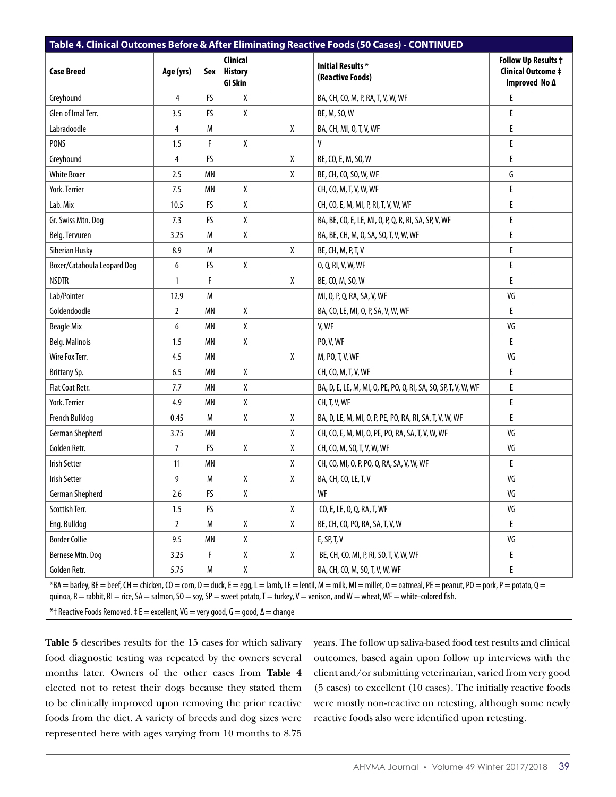| Table 4. Clinical Outcomes Before & After Eliminating Reactive Foods (50 Cases) - CONTINUED |                |           |                                                     |                      |                                                                |                                                                          |  |
|---------------------------------------------------------------------------------------------|----------------|-----------|-----------------------------------------------------|----------------------|----------------------------------------------------------------|--------------------------------------------------------------------------|--|
| <b>Case Breed</b>                                                                           | Age (yrs)      | Sex       | <b>Clinical</b><br><b>History</b><br><b>GI Skin</b> |                      | <b>Initial Results*</b><br>(Reactive Foods)                    | <b>Follow Up Results +</b><br><b>Clinical Outcome ‡</b><br>Improved No A |  |
| Greyhound                                                                                   | $\overline{4}$ | FS        | $\pmb{\chi}$                                        |                      | BA, CH, CO, M, P, RA, T, V, W, WF                              | E                                                                        |  |
| Glen of Imal Terr.                                                                          | 3.5            | FS        | χ                                                   |                      | BE, M, SO, W                                                   | E                                                                        |  |
| Labradoodle                                                                                 | 4              | M         |                                                     | X                    | BA, CH, MI, O, T, V, WF                                        | E                                                                        |  |
| <b>PONS</b>                                                                                 | 1.5            | F         | $\pmb{\chi}$                                        |                      | V                                                              | E                                                                        |  |
| Greyhound                                                                                   | 4              | FS        |                                                     | X                    | BE, CO, E, M, SO, W                                            | $\mathsf E$                                                              |  |
| <b>White Boxer</b>                                                                          | 2.5            | <b>MN</b> |                                                     | X                    | BE, CH, CO, SO, W, WF                                          | G                                                                        |  |
| York. Terrier                                                                               | 7.5            | <b>MN</b> | $\pmb{\chi}$                                        |                      | CH, CO, M, T, V, W, WF                                         | E                                                                        |  |
| Lab. Mix                                                                                    | 10.5           | FS        | $\pmb{\chi}$                                        |                      | CH, CO, E, M, MI, P, RI, T, V, W, WF                           | E                                                                        |  |
| Gr. Swiss Mtn. Dog                                                                          | 7.3            | <b>FS</b> | $\pmb{\chi}$                                        |                      | BA, BE, CO, E, LE, MI, O, P, Q, R, RI, SA, SP, V, WF           | $\mathsf E$                                                              |  |
| Belg. Tervuren                                                                              | 3.25           | M         | χ                                                   |                      | BA, BE, CH, M, O, SA, SO, T, V, W, WF                          | E                                                                        |  |
| Siberian Husky                                                                              | 8.9            | M         |                                                     | X                    | BE, CH, M, P, T, V                                             | E                                                                        |  |
| Boxer/Catahoula Leopard Dog                                                                 | 6              | FS        | χ                                                   |                      | 0, Q, RI, V, W, WF                                             | E                                                                        |  |
| <b>NSDTR</b>                                                                                | $\mathbf{1}$   | F         |                                                     | X                    | BE, CO, M, SO, W                                               | E                                                                        |  |
| Lab/Pointer                                                                                 | 12.9           | M         |                                                     |                      | MI, O, P, Q, RA, SA, V, WF                                     | VG                                                                       |  |
| Goldendoodle                                                                                | $\overline{2}$ | <b>MN</b> | $\pmb{\chi}$                                        |                      | BA, CO, LE, MI, O, P, SA, V, W, WF                             | E                                                                        |  |
| <b>Beagle Mix</b>                                                                           | 6              | <b>MN</b> | χ                                                   |                      | V, WF                                                          | VG                                                                       |  |
| Belg. Malinois                                                                              | 1.5            | <b>MN</b> | χ                                                   | <b>PO, V, WF</b>     |                                                                | E                                                                        |  |
| Wire Fox Terr.                                                                              | 4.5            | <b>MN</b> |                                                     | χ<br>M, PO, T, V, WF |                                                                | VG                                                                       |  |
| Brittany Sp.                                                                                | 6.5            | <b>MN</b> | $\pmb{\chi}$                                        |                      | CH, CO, M, T, V, WF                                            | E                                                                        |  |
| Flat Coat Retr.                                                                             | 7.7            | <b>MN</b> | χ                                                   |                      | BA, D, E, LE, M, MI, O, PE, PO, Q, RI, SA, SO, SP, T, V, W, WF | E                                                                        |  |
| York. Terrier                                                                               | 4.9            | MN        | χ                                                   |                      | CH, T, V, WF                                                   | E                                                                        |  |
| <b>French Bulldog</b>                                                                       | 0.45           | M         | $\pmb{\chi}$                                        | X                    | BA, D, LE, M, MI, O, P, PE, PO, RA, RI, SA, T, V, W, WF        | E                                                                        |  |
| <b>German Shepherd</b>                                                                      | 3.75           | <b>MN</b> |                                                     | X                    | CH, CO, E, M, MI, O, PE, PO, RA, SA, T, V, W, WF               | VG                                                                       |  |
| Golden Retr.                                                                                | 7              | <b>FS</b> | X                                                   | χ                    | CH, CO, M, SO, T, V, W, WF                                     | VG                                                                       |  |
| <b>Irish Setter</b>                                                                         | 11             | <b>MN</b> |                                                     | χ                    | CH, CO, MI, O, P, PO, Q, RA, SA, V, W, WF                      | E                                                                        |  |
| <b>Irish Setter</b>                                                                         | 9              | M         | χ                                                   | χ                    | BA, CH, CO, LE, T, V                                           | VG                                                                       |  |
| German Shepherd                                                                             | 2.6            | FS        | $\pmb{\chi}$                                        |                      | WF                                                             | VG                                                                       |  |
| Scottish Terr.                                                                              | 1.5            | FS        |                                                     | χ                    | CO, E, LE, O, Q, RA, T, WF                                     | VG                                                                       |  |
| Eng. Bulldog                                                                                | 2              | M         | χ                                                   | X                    | BE, CH, CO, PO, RA, SA, T, V, W                                | E.                                                                       |  |
| <b>Border Collie</b>                                                                        | 9.5            | ΜN        | χ                                                   |                      | E, SP, T, V                                                    | VG                                                                       |  |
| Bernese Mtn. Dog                                                                            | 3.25           | F         | $\pmb{\chi}$                                        | χ                    | BE, CH, CO, MI, P, RI, SO, T, V, W, WF                         | E                                                                        |  |
| Golden Retr.                                                                                | 5.75           | M         | $\pmb{\chi}$                                        |                      | BA, CH, CO, M, SO, T, V, W, WF                                 | E                                                                        |  |

 $*BA =$  barley, BE  $=$  beef, CH  $=$  chicken, CO  $=$  corn, D  $=$  duck, E  $=$  egg, L  $=$  lamb, LE  $=$  lentil, M  $=$  milk, MI  $=$  millet, O  $=$  oatmeal, PE  $=$  peanut, PO  $=$  pork, P  $=$  potato, Q  $=$ quinoa,  $R =$ rabbit,  $R$  = rice,  $SA =$ salmon,  $SO =$ soy,  $SP =$ sweet potato,  $T =$ turkey,  $V =$ venison, and  $W =$ wheat, WF = white-colored fish.

 $*$ † Reactive Foods Removed. ‡ E = excellent, VG = very good, G = good,  $\Delta$  = change

**Table 5** describes results for the 15 cases for which salivary food diagnostic testing was repeated by the owners several months later. Owners of the other cases from **Table 4** elected not to retest their dogs because they stated them to be clinically improved upon removing the prior reactive foods from the diet. A variety of breeds and dog sizes were represented here with ages varying from 10 months to 8.75

years. The follow up saliva-based food test results and clinical outcomes, based again upon follow up interviews with the client and/or submitting veterinarian, varied from very good (5 cases) to excellent (10 cases). The initially reactive foods were mostly non-reactive on retesting, although some newly reactive foods also were identified upon retesting.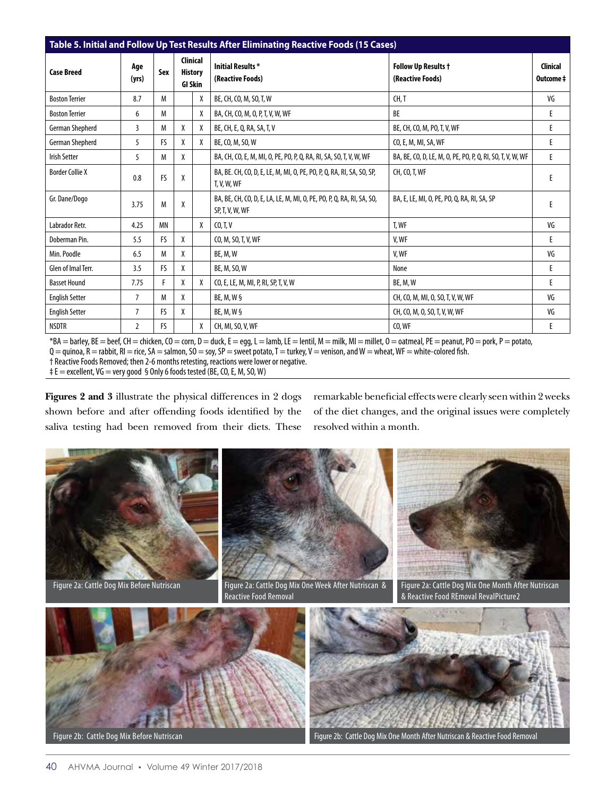| Table 5. Initial and Follow Up Test Results After Eliminating Reactive Foods (15 Cases) |                |           |                                              |   |                                                                                          |                                                            |                             |  |  |
|-----------------------------------------------------------------------------------------|----------------|-----------|----------------------------------------------|---|------------------------------------------------------------------------------------------|------------------------------------------------------------|-----------------------------|--|--|
| <b>Case Breed</b>                                                                       | Age<br>(yrs)   | Sex       | Clinical<br><b>History</b><br><b>GI Skin</b> |   | <b>Initial Results*</b><br>(Reactive Foods)                                              | Follow Up Results +<br>(Reactive Foods)                    | <b>Clinical</b><br>Outcome‡ |  |  |
| <b>Boston Terrier</b>                                                                   | 8.7            | М         |                                              | X | BE, CH, CO, M, SO, T, W                                                                  | CH.T                                                       | VG                          |  |  |
| <b>Boston Terrier</b>                                                                   | 6              | М         |                                              | X | BA, CH, CO, M, O, P, T, V, W, WF                                                         | BE                                                         | E                           |  |  |
| German Shepherd                                                                         | 3              | М         | χ                                            | X | BE, CH, E, Q, RA, SA, T, V                                                               | BE, CH, CO, M, PO, T, V, WF                                | E                           |  |  |
| German Shepherd                                                                         | 5              | <b>FS</b> | χ                                            | X | BE, CO, M, SO, W                                                                         | CO, E, M, MI, SA, WF                                       | E                           |  |  |
| <b>Irish Setter</b>                                                                     | 5              | М         | X                                            |   | BA, CH, CO, E, M, MI, O, PE, PO, P, Q, RA, RI, SA, SO, T, V, W, WF                       | BA, BE, CO, D, LE, M, O, PE, PO, P, Q, RI, SO, T, V, W, WF | E                           |  |  |
| <b>Border Collie X</b>                                                                  | 0.8            | FS        | X                                            |   | BA, BE. CH, CO, D, E, LE, M, MI, O, PE, PO, P, Q, RA, RI, SA, SO, SP,<br>T, V, W, WF     | CH, CO, T, WF                                              | E                           |  |  |
| Gr. Dane/Dogo                                                                           | 3.75           | M         | χ                                            |   | BA, BE, CH, CO, D, E, LA, LE, M, MI, O, PE, PO, P, O, RA, RI, SA, SO,<br>SP, T, V, W, WF | BA, E, LE, MI, O, PE, PO, O, RA, RI, SA, SP                |                             |  |  |
| Labrador Retr.                                                                          | 4.25           | <b>MN</b> |                                              | X | CO, T, V                                                                                 | T, WF                                                      | VG                          |  |  |
| Doberman Pin.                                                                           | 5.5            | <b>FS</b> | χ                                            |   | CO, M, SO, T, V, WF                                                                      | V.WF                                                       | E                           |  |  |
| Min. Poodle                                                                             | 6.5            | М         | χ                                            |   | BE, M, W                                                                                 | V.WF                                                       | VG                          |  |  |
| Glen of Imal Terr.                                                                      | 3.5            | <b>FS</b> | χ                                            |   | BE, M, SO, W                                                                             | None                                                       | E                           |  |  |
| <b>Basset Hound</b>                                                                     | 7.75           | F         | X                                            | X | CO, E, LE, M, MI, P, RI, SP, T, V, W                                                     | BE, M, W                                                   | E                           |  |  |
| <b>English Setter</b>                                                                   | $\overline{7}$ | М         | χ                                            |   | BE, M, W §                                                                               | CH, CO, M, MI, O, SO, T, V, W, WF                          | VG                          |  |  |
| <b>English Setter</b>                                                                   | 7              | FS.       | χ                                            |   | BE, M, W §                                                                               | CH, CO, M, O, SO, T, V, W, WF                              | VG                          |  |  |
| <b>NSDTR</b>                                                                            | $\overline{2}$ | FS.       |                                              | X | CH, MI, SO, V, WF                                                                        | CO, WF                                                     | E                           |  |  |

 $*BA =$  barley, BE = beef, CH = chicken, CO = corn, D = duck, E = egg, L = lamb, LE = lentil, M = milk, MI = millet, O = oatmeal, PE = peanut, PO = pork, P = potato,  $Q =$  quinoa,  $R =$  rabbit,  $R$  = rice,  $SA =$  salmon,  $SO =$  soy,  $SP =$  sweet potato,  $T =$  turkey,  $V =$  venison, and  $W =$  wheat, WF  $=$  white-colored fish. † Reactive Foods Removed; then 2-6 months retesting, reactions were lower or negative. ‡ E = excellent, VG = very good § Only 6 foods tested (BE, CO, E, M, SO, W)

**Figures 2 and 3** illustrate the physical differences in 2 dogs shown before and after offending foods identified by the saliva testing had been removed from their diets. These remarkable beneficial effects were clearly seen within 2 weeks of the diet changes, and the original issues were completely resolved within a month.

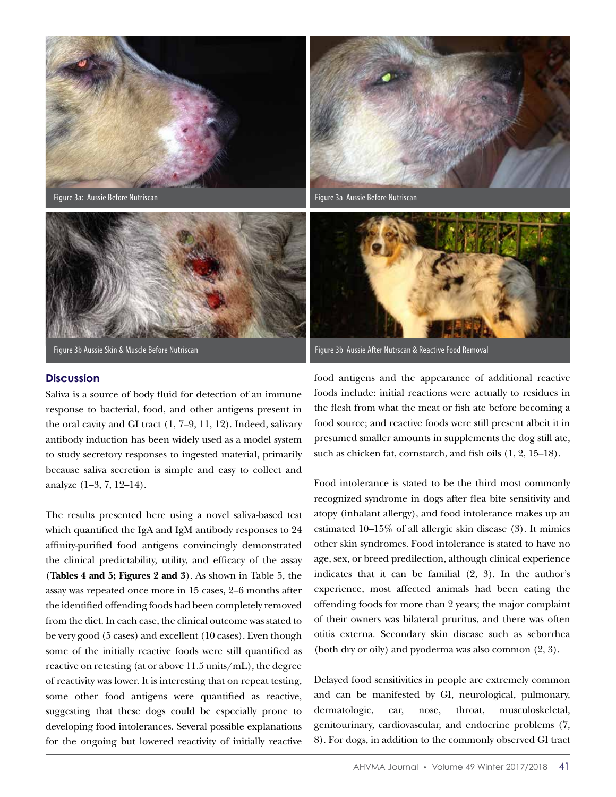

Figure 3a: Aussie Before Nutriscan



Figure 3b Aussie Skin & Muscle Before Nutriscan

## **Discussion**

Saliva is a source of body fluid for detection of an immune response to bacterial, food, and other antigens present in the oral cavity and GI tract (1, 7–9, 11, 12). Indeed, salivary antibody induction has been widely used as a model system to study secretory responses to ingested material, primarily because saliva secretion is simple and easy to collect and analyze (1–3, 7, 12–14).

The results presented here using a novel saliva-based test which quantified the IgA and IgM antibody responses to 24 affinity-purified food antigens convincingly demonstrated the clinical predictability, utility, and efficacy of the assay (**Tables 4 and 5; Figures 2 and 3**). As shown in Table 5, the assay was repeated once more in 15 cases, 2–6 months after the identified offending foods had been completely removed from the diet. In each case, the clinical outcome was stated to be very good (5 cases) and excellent (10 cases). Even though some of the initially reactive foods were still quantified as reactive on retesting (at or above 11.5 units/mL), the degree of reactivity was lower. It is interesting that on repeat testing, some other food antigens were quantified as reactive, suggesting that these dogs could be especially prone to developing food intolerances. Several possible explanations for the ongoing but lowered reactivity of initially reactive



Figure 3a Aussie Before Nutriscan



Figure 3b Aussie After Nutrscan & Reactive Food Removal

food antigens and the appearance of additional reactive foods include: initial reactions were actually to residues in the flesh from what the meat or fish ate before becoming a food source; and reactive foods were still present albeit it in presumed smaller amounts in supplements the dog still ate, such as chicken fat, cornstarch, and fish oils (1, 2, 15–18).

Food intolerance is stated to be the third most commonly recognized syndrome in dogs after flea bite sensitivity and atopy (inhalant allergy), and food intolerance makes up an estimated 10–15% of all allergic skin disease (3). It mimics other skin syndromes. Food intolerance is stated to have no age, sex, or breed predilection, although clinical experience indicates that it can be familial (2, 3). In the author's experience, most affected animals had been eating the offending foods for more than 2 years; the major complaint of their owners was bilateral pruritus, and there was often otitis externa. Secondary skin disease such as seborrhea (both dry or oily) and pyoderma was also common (2, 3).

Delayed food sensitivities in people are extremely common and can be manifested by GI, neurological, pulmonary, dermatologic, ear, nose, throat, musculoskeletal, genitourinary, cardiovascular, and endocrine problems (7, 8). For dogs, in addition to the commonly observed GI tract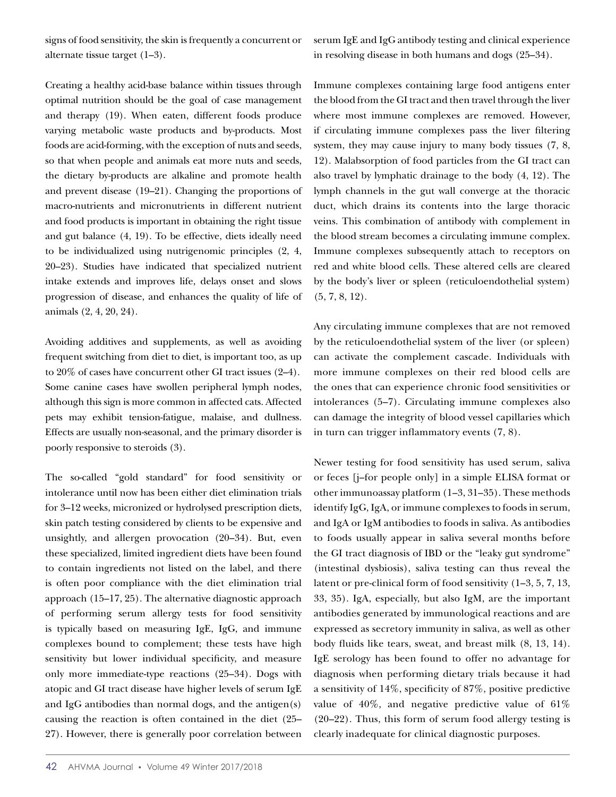signs of food sensitivity, the skin is frequently a concurrent or alternate tissue target (1–3).

serum IgE and IgG antibody testing and clinical experience in resolving disease in both humans and dogs (25–34).

Creating a healthy acid-base balance within tissues through optimal nutrition should be the goal of case management and therapy (19). When eaten, different foods produce varying metabolic waste products and by-products. Most foods are acid-forming, with the exception of nuts and seeds, so that when people and animals eat more nuts and seeds, the dietary by-products are alkaline and promote health and prevent disease (19–21). Changing the proportions of macro-nutrients and micronutrients in different nutrient and food products is important in obtaining the right tissue and gut balance (4, 19). To be effective, diets ideally need to be individualized using nutrigenomic principles (2, 4, 20–23). Studies have indicated that specialized nutrient intake extends and improves life, delays onset and slows progression of disease, and enhances the quality of life of animals (2, 4, 20, 24).

Avoiding additives and supplements, as well as avoiding frequent switching from diet to diet, is important too, as up to 20% of cases have concurrent other GI tract issues (2–4). Some canine cases have swollen peripheral lymph nodes, although this sign is more common in affected cats. Affected pets may exhibit tension-fatigue, malaise, and dullness. Effects are usually non-seasonal, and the primary disorder is poorly responsive to steroids (3).

The so-called "gold standard" for food sensitivity or intolerance until now has been either diet elimination trials for 3–12 weeks, micronized or hydrolysed prescription diets, skin patch testing considered by clients to be expensive and unsightly, and allergen provocation (20–34). But, even these specialized, limited ingredient diets have been found to contain ingredients not listed on the label, and there is often poor compliance with the diet elimination trial approach (15–17, 25). The alternative diagnostic approach of performing serum allergy tests for food sensitivity is typically based on measuring IgE, IgG, and immune complexes bound to complement; these tests have high sensitivity but lower individual specificity, and measure only more immediate-type reactions (25–34). Dogs with atopic and GI tract disease have higher levels of serum IgE and IgG antibodies than normal dogs, and the antigen(s) causing the reaction is often contained in the diet (25– 27). However, there is generally poor correlation between

Immune complexes containing large food antigens enter the blood from the GI tract and then travel through the liver where most immune complexes are removed. However, if circulating immune complexes pass the liver filtering system, they may cause injury to many body tissues  $(7, 8, 1)$ 12). Malabsorption of food particles from the GI tract can also travel by lymphatic drainage to the body (4, 12). The lymph channels in the gut wall converge at the thoracic duct, which drains its contents into the large thoracic veins. This combination of antibody with complement in the blood stream becomes a circulating immune complex. Immune complexes subsequently attach to receptors on red and white blood cells. These altered cells are cleared by the body's liver or spleen (reticuloendothelial system)  $(5, 7, 8, 12)$ .

Any circulating immune complexes that are not removed by the reticuloendothelial system of the liver (or spleen) can activate the complement cascade. Individuals with more immune complexes on their red blood cells are the ones that can experience chronic food sensitivities or intolerances (5–7). Circulating immune complexes also can damage the integrity of blood vessel capillaries which in turn can trigger inflammatory events (7, 8).

Newer testing for food sensitivity has used serum, saliva or feces [j–for people only] in a simple ELISA format or other immunoassay platform (1–3, 31–35). These methods identify IgG, IgA, or immune complexes to foods in serum, and IgA or IgM antibodies to foods in saliva. As antibodies to foods usually appear in saliva several months before the GI tract diagnosis of IBD or the "leaky gut syndrome" (intestinal dysbiosis), saliva testing can thus reveal the latent or pre-clinical form of food sensitivity (1–3, 5, 7, 13, 33, 35). IgA, especially, but also IgM, are the important antibodies generated by immunological reactions and are expressed as secretory immunity in saliva, as well as other body fluids like tears, sweat, and breast milk (8, 13, 14). IgE serology has been found to offer no advantage for diagnosis when performing dietary trials because it had a sensitivity of 14%, specificity of 87%, positive predictive value of  $40\%$ , and negative predictive value of  $61\%$ (20–22). Thus, this form of serum food allergy testing is clearly inadequate for clinical diagnostic purposes.